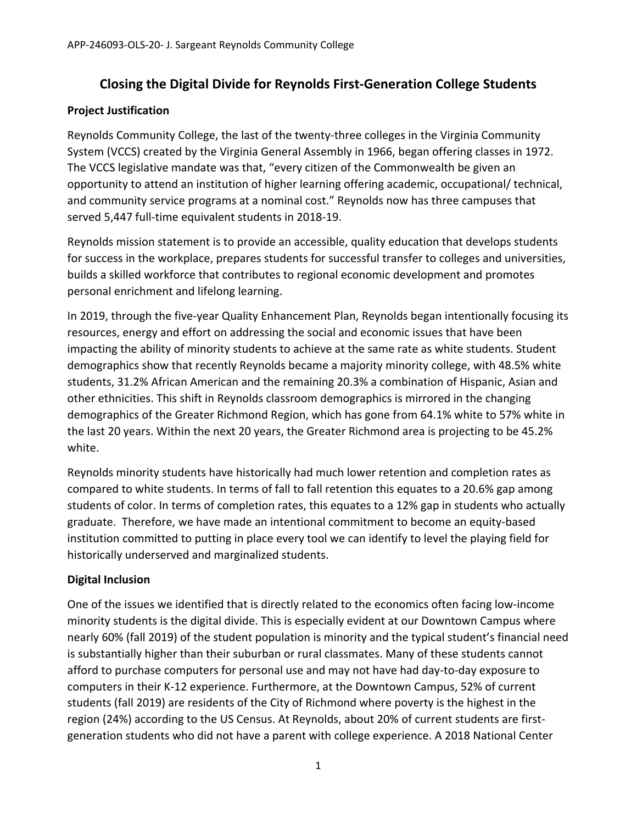# **Closing the Digital Divide for Reynolds First‐Generation College Students**

### **Project Justification**

Reynolds Community College, the last of the twenty-three colleges in the Virginia Community System (VCCS) created by the Virginia General Assembly in 1966, began offering classes in 1972. The VCCS legislative mandate was that, "every citizen of the Commonwealth be given an opportunity to attend an institution of higher learning offering academic, occupational/ technical, and community service programs at a nominal cost." Reynolds now has three campuses that served 5,447 full-time equivalent students in 2018-19.

Reynolds mission statement is to provide an accessible, quality education that develops students for success in the workplace, prepares students for successful transfer to colleges and universities, builds a skilled workforce that contributes to regional economic development and promotes personal enrichment and lifelong learning.

In 2019, through the five-year Quality Enhancement Plan, Reynolds began intentionally focusing its resources, energy and effort on addressing the social and economic issues that have been impacting the ability of minority students to achieve at the same rate as white students. Student demographics show that recently Reynolds became a majority minority college, with 48.5% white students, 31.2% African American and the remaining 20.3% a combination of Hispanic, Asian and other ethnicities. This shift in Reynolds classroom demographics is mirrored in the changing demographics of the Greater Richmond Region, which has gone from 64.1% white to 57% white in the last 20 years. Within the next 20 years, the Greater Richmond area is projecting to be 45.2% white.

Reynolds minority students have historically had much lower retention and completion rates as compared to white students. In terms of fall to fall retention this equates to a 20.6% gap among students of color. In terms of completion rates, this equates to a 12% gap in students who actually graduate. Therefore, we have made an intentional commitment to become an equity‐based institution committed to putting in place every tool we can identify to level the playing field for historically underserved and marginalized students.

# **Digital Inclusion**

One of the issues we identified that is directly related to the economics often facing low‐income minority students is the digital divide. This is especially evident at our Downtown Campus where nearly 60% (fall 2019) of the student population is minority and the typical student's financial need is substantially higher than their suburban or rural classmates. Many of these students cannot afford to purchase computers for personal use and may not have had day‐to‐day exposure to computers in their K‐12 experience. Furthermore, at the Downtown Campus, 52% of current students (fall 2019) are residents of the City of Richmond where poverty is the highest in the region (24%) according to the US Census. At Reynolds, about 20% of current students are first‐ generation students who did not have a parent with college experience. A 2018 National Center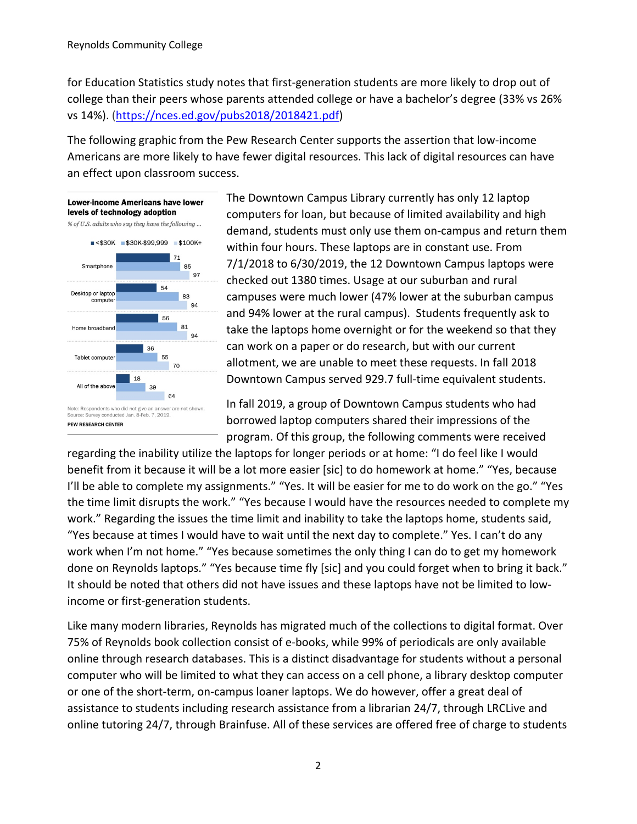for Education Statistics study notes that first‐generation students are more likely to drop out of college than their peers whose parents attended college or have a bachelor's degree (33% vs 26% vs 14%). (https://nces.ed.gov/pubs2018/2018421.pdf)

The following graphic from the Pew Research Center supports the assertion that low‐income Americans are more likely to have fewer digital resources. This lack of digital resources can have an effect upon classroom success.



The Downtown Campus Library currently has only 12 laptop computers for loan, but because of limited availability and high demand, students must only use them on‐campus and return them within four hours. These laptops are in constant use. From 7/1/2018 to 6/30/2019, the 12 Downtown Campus laptops were checked out 1380 times. Usage at our suburban and rural campuses were much lower (47% lower at the suburban campus and 94% lower at the rural campus). Students frequently ask to take the laptops home overnight or for the weekend so that they can work on a paper or do research, but with our current allotment, we are unable to meet these requests. In fall 2018 Downtown Campus served 929.7 full‐time equivalent students.

In fall 2019, a group of Downtown Campus students who had borrowed laptop computers shared their impressions of the program. Of this group, the following comments were received

regarding the inability utilize the laptops for longer periods or at home: "I do feel like I would benefit from it because it will be a lot more easier [sic] to do homework at home." "Yes, because I'll be able to complete my assignments." "Yes. It will be easier for me to do work on the go." "Yes the time limit disrupts the work." "Yes because I would have the resources needed to complete my work." Regarding the issues the time limit and inability to take the laptops home, students said, "Yes because at times I would have to wait until the next day to complete." Yes. I can't do any work when I'm not home." "Yes because sometimes the only thing I can do to get my homework done on Reynolds laptops." "Yes because time fly [sic] and you could forget when to bring it back." It should be noted that others did not have issues and these laptops have not be limited to low‐ income or first‐generation students.

Like many modern libraries, Reynolds has migrated much of the collections to digital format. Over 75% of Reynolds book collection consist of e‐books, while 99% of periodicals are only available online through research databases. This is a distinct disadvantage for students without a personal computer who will be limited to what they can access on a cell phone, a library desktop computer or one of the short-term, on-campus loaner laptops. We do however, offer a great deal of assistance to students including research assistance from a librarian 24/7, through LRCLive and online tutoring 24/7, through Brainfuse. All of these services are offered free of charge to students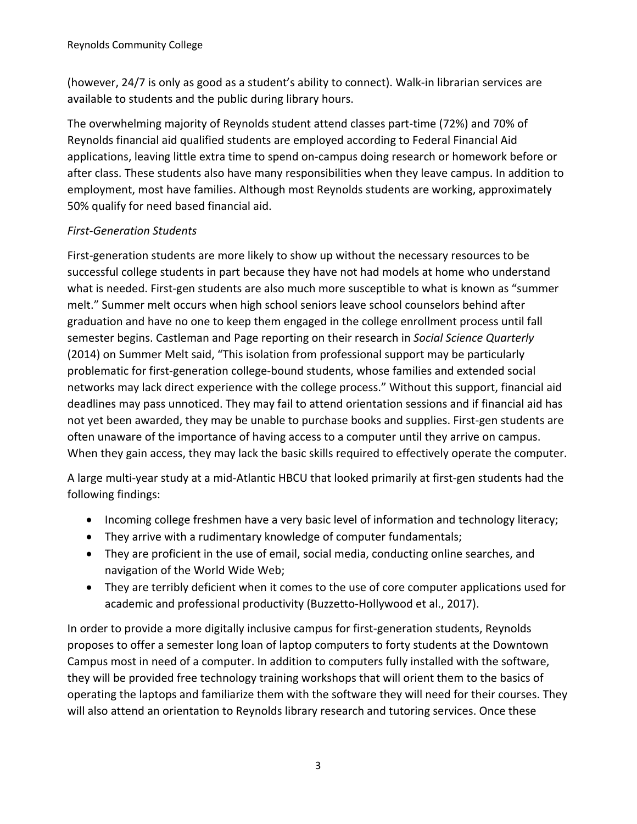(however, 24/7 is only as good as a student's ability to connect). Walk‐in librarian services are available to students and the public during library hours.

The overwhelming majority of Reynolds student attend classes part‐time (72%) and 70% of Reynolds financial aid qualified students are employed according to Federal Financial Aid applications, leaving little extra time to spend on‐campus doing research or homework before or after class. These students also have many responsibilities when they leave campus. In addition to employment, most have families. Although most Reynolds students are working, approximately 50% qualify for need based financial aid.

# *First‐Generation Students*

First-generation students are more likely to show up without the necessary resources to be successful college students in part because they have not had models at home who understand what is needed. First-gen students are also much more susceptible to what is known as "summer melt." Summer melt occurs when high school seniors leave school counselors behind after graduation and have no one to keep them engaged in the college enrollment process until fall semester begins. Castleman and Page reporting on their research in *Social Science Quarterly* (2014) on Summer Melt said, "This isolation from professional support may be particularly problematic for first‐generation college‐bound students, whose families and extended social networks may lack direct experience with the college process." Without this support, financial aid deadlines may pass unnoticed. They may fail to attend orientation sessions and if financial aid has not yet been awarded, they may be unable to purchase books and supplies. First‐gen students are often unaware of the importance of having access to a computer until they arrive on campus. When they gain access, they may lack the basic skills required to effectively operate the computer.

A large multi‐year study at a mid‐Atlantic HBCU that looked primarily at first‐gen students had the following findings:

- Incoming college freshmen have a very basic level of information and technology literacy;
- They arrive with a rudimentary knowledge of computer fundamentals;
- They are proficient in the use of email, social media, conducting online searches, and navigation of the World Wide Web;
- They are terribly deficient when it comes to the use of core computer applications used for academic and professional productivity (Buzzetto‐Hollywood et al., 2017).

In order to provide a more digitally inclusive campus for first-generation students, Reynolds proposes to offer a semester long loan of laptop computers to forty students at the Downtown Campus most in need of a computer. In addition to computers fully installed with the software, they will be provided free technology training workshops that will orient them to the basics of operating the laptops and familiarize them with the software they will need for their courses. They will also attend an orientation to Reynolds library research and tutoring services. Once these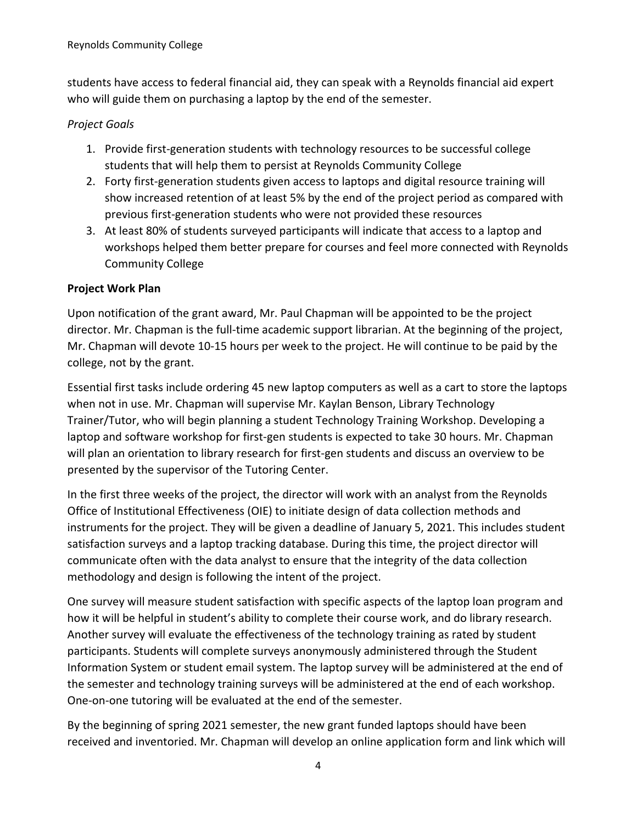students have access to federal financial aid, they can speak with a Reynolds financial aid expert who will guide them on purchasing a laptop by the end of the semester.

## *Project Goals*

- 1. Provide first‐generation students with technology resources to be successful college students that will help them to persist at Reynolds Community College
- 2. Forty first‐generation students given access to laptops and digital resource training will show increased retention of at least 5% by the end of the project period as compared with previous first‐generation students who were not provided these resources
- 3. At least 80% of students surveyed participants will indicate that access to a laptop and workshops helped them better prepare for courses and feel more connected with Reynolds Community College

## **Project Work Plan**

Upon notification of the grant award, Mr. Paul Chapman will be appointed to be the project director. Mr. Chapman is the full‐time academic support librarian. At the beginning of the project, Mr. Chapman will devote 10‐15 hours per week to the project. He will continue to be paid by the college, not by the grant.

Essential first tasks include ordering 45 new laptop computers as well as a cart to store the laptops when not in use. Mr. Chapman will supervise Mr. Kaylan Benson, Library Technology Trainer/Tutor, who will begin planning a student Technology Training Workshop. Developing a laptop and software workshop for first-gen students is expected to take 30 hours. Mr. Chapman will plan an orientation to library research for first-gen students and discuss an overview to be presented by the supervisor of the Tutoring Center.

In the first three weeks of the project, the director will work with an analyst from the Reynolds Office of Institutional Effectiveness (OIE) to initiate design of data collection methods and instruments for the project. They will be given a deadline of January 5, 2021. This includes student satisfaction surveys and a laptop tracking database. During this time, the project director will communicate often with the data analyst to ensure that the integrity of the data collection methodology and design is following the intent of the project.

One survey will measure student satisfaction with specific aspects of the laptop loan program and how it will be helpful in student's ability to complete their course work, and do library research. Another survey will evaluate the effectiveness of the technology training as rated by student participants. Students will complete surveys anonymously administered through the Student Information System or student email system. The laptop survey will be administered at the end of the semester and technology training surveys will be administered at the end of each workshop. One‐on‐one tutoring will be evaluated at the end of the semester.

By the beginning of spring 2021 semester, the new grant funded laptops should have been received and inventoried. Mr. Chapman will develop an online application form and link which will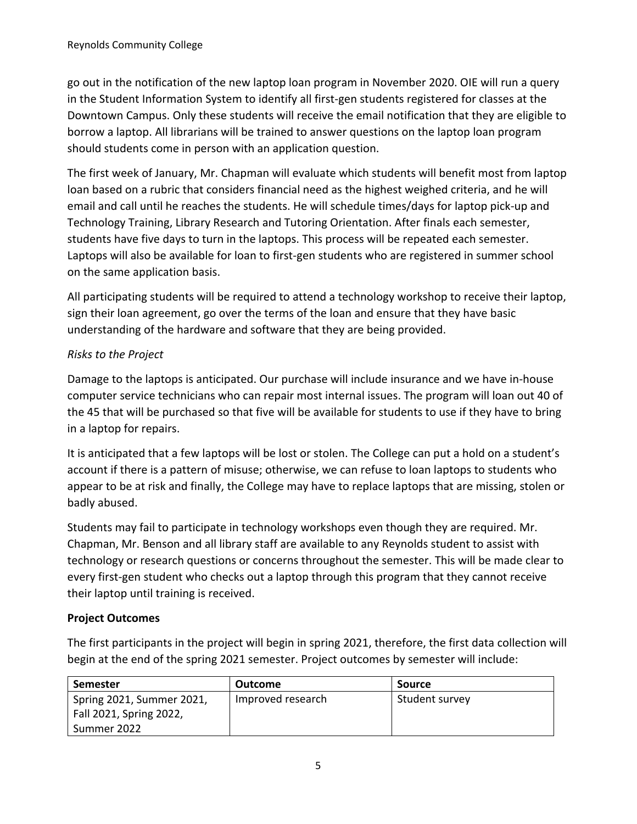go out in the notification of the new laptop loan program in November 2020. OIE will run a query in the Student Information System to identify all first-gen students registered for classes at the Downtown Campus. Only these students will receive the email notification that they are eligible to borrow a laptop. All librarians will be trained to answer questions on the laptop loan program should students come in person with an application question.

The first week of January, Mr. Chapman will evaluate which students will benefit most from laptop loan based on a rubric that considers financial need as the highest weighed criteria, and he will email and call until he reaches the students. He will schedule times/days for laptop pick‐up and Technology Training, Library Research and Tutoring Orientation. After finals each semester, students have five days to turn in the laptops. This process will be repeated each semester. Laptops will also be available for loan to first‐gen students who are registered in summer school on the same application basis.

All participating students will be required to attend a technology workshop to receive their laptop, sign their loan agreement, go over the terms of the loan and ensure that they have basic understanding of the hardware and software that they are being provided.

## *Risks to the Project*

Damage to the laptops is anticipated. Our purchase will include insurance and we have in‐house computer service technicians who can repair most internal issues. The program will loan out 40 of the 45 that will be purchased so that five will be available for students to use if they have to bring in a laptop for repairs.

It is anticipated that a few laptops will be lost or stolen. The College can put a hold on a student's account if there is a pattern of misuse; otherwise, we can refuse to loan laptops to students who appear to be at risk and finally, the College may have to replace laptops that are missing, stolen or badly abused.

Students may fail to participate in technology workshops even though they are required. Mr. Chapman, Mr. Benson and all library staff are available to any Reynolds student to assist with technology or research questions or concerns throughout the semester. This will be made clear to every first-gen student who checks out a laptop through this program that they cannot receive their laptop until training is received.

### **Project Outcomes**

The first participants in the project will begin in spring 2021, therefore, the first data collection will begin at the end of the spring 2021 semester. Project outcomes by semester will include:

| Semester                  | Outcome           | Source         |
|---------------------------|-------------------|----------------|
| Spring 2021, Summer 2021, | Improved research | Student survey |
| Fall 2021, Spring 2022,   |                   |                |
| Summer 2022               |                   |                |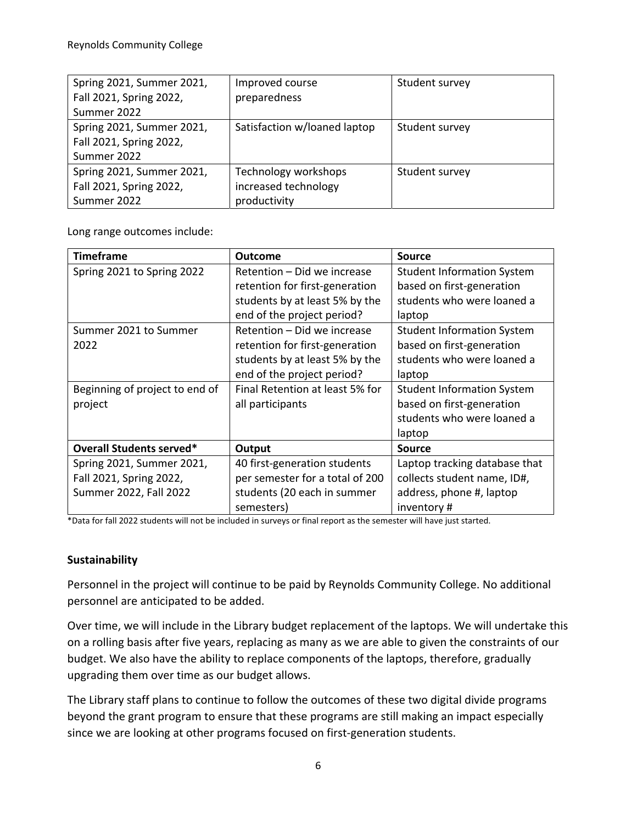| Spring 2021, Summer 2021, | Improved course              | Student survey |
|---------------------------|------------------------------|----------------|
| Fall 2021, Spring 2022,   | preparedness                 |                |
| Summer 2022               |                              |                |
| Spring 2021, Summer 2021, | Satisfaction w/loaned laptop | Student survey |
| Fall 2021, Spring 2022,   |                              |                |
| Summer 2022               |                              |                |
| Spring 2021, Summer 2021, | Technology workshops         | Student survey |
| Fall 2021, Spring 2022,   | increased technology         |                |
| Summer 2022               | productivity                 |                |

Long range outcomes include:

| <b>Timeframe</b>                | <b>Outcome</b>                  | <b>Source</b>                     |
|---------------------------------|---------------------------------|-----------------------------------|
| Spring 2021 to Spring 2022      | Retention - Did we increase     | <b>Student Information System</b> |
|                                 | retention for first-generation  | based on first-generation         |
|                                 | students by at least 5% by the  | students who were loaned a        |
|                                 | end of the project period?      | laptop                            |
| Summer 2021 to Summer           | Retention – Did we increase     | <b>Student Information System</b> |
| 2022                            | retention for first-generation  | based on first-generation         |
|                                 | students by at least 5% by the  | students who were loaned a        |
|                                 | end of the project period?      | laptop                            |
| Beginning of project to end of  | Final Retention at least 5% for | <b>Student Information System</b> |
| project                         | all participants                | based on first-generation         |
|                                 |                                 | students who were loaned a        |
|                                 |                                 | laptop                            |
| <b>Overall Students served*</b> | Output                          | <b>Source</b>                     |
| Spring 2021, Summer 2021,       | 40 first-generation students    | Laptop tracking database that     |
| Fall 2021, Spring 2022,         | per semester for a total of 200 | collects student name, ID#,       |
| Summer 2022, Fall 2022          | students (20 each in summer     | address, phone #, laptop          |
|                                 | semesters)                      | inventory#                        |

\*Data for fall 2022 students will not be included in surveys or final report as the semester will have just started.

### **Sustainability**

Personnel in the project will continue to be paid by Reynolds Community College. No additional personnel are anticipated to be added.

Over time, we will include in the Library budget replacement of the laptops. We will undertake this on a rolling basis after five years, replacing as many as we are able to given the constraints of our budget. We also have the ability to replace components of the laptops, therefore, gradually upgrading them over time as our budget allows.

The Library staff plans to continue to follow the outcomes of these two digital divide programs beyond the grant program to ensure that these programs are still making an impact especially since we are looking at other programs focused on first-generation students.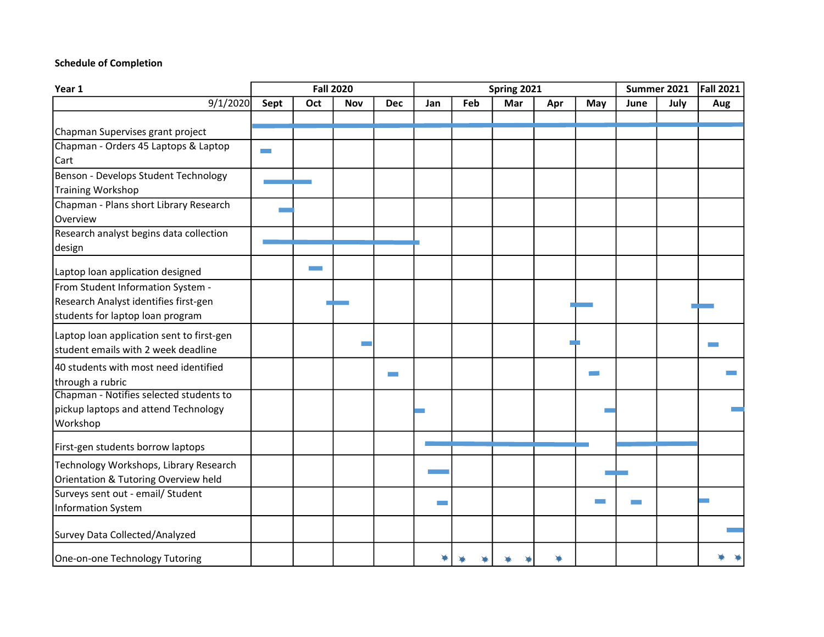#### Schedule of Completion

| Year 1                                    | <b>Fall 2020</b> |     |            | Spring 2021 |     |     |     |     | Summer 2021 |      | Fall 2021 |     |
|-------------------------------------------|------------------|-----|------------|-------------|-----|-----|-----|-----|-------------|------|-----------|-----|
| 9/1/2020                                  | Sept             | Oct | <b>Nov</b> | <b>Dec</b>  | Jan | Feb | Mar | Apr | May         | June | July      | Aug |
|                                           |                  |     |            |             |     |     |     |     |             |      |           |     |
| Chapman Supervises grant project          |                  |     |            |             |     |     |     |     |             |      |           |     |
| Chapman - Orders 45 Laptops & Laptop      |                  |     |            |             |     |     |     |     |             |      |           |     |
| Cart                                      |                  |     |            |             |     |     |     |     |             |      |           |     |
| Benson - Develops Student Technology      |                  |     |            |             |     |     |     |     |             |      |           |     |
| <b>Training Workshop</b>                  |                  |     |            |             |     |     |     |     |             |      |           |     |
| Chapman - Plans short Library Research    |                  |     |            |             |     |     |     |     |             |      |           |     |
| Overview                                  |                  |     |            |             |     |     |     |     |             |      |           |     |
| Research analyst begins data collection   |                  |     |            |             |     |     |     |     |             |      |           |     |
| design                                    |                  |     |            |             |     |     |     |     |             |      |           |     |
| Laptop loan application designed          |                  |     |            |             |     |     |     |     |             |      |           |     |
| From Student Information System -         |                  |     |            |             |     |     |     |     |             |      |           |     |
| Research Analyst identifies first-gen     |                  |     |            |             |     |     |     |     |             |      |           |     |
| students for laptop loan program          |                  |     |            |             |     |     |     |     |             |      |           |     |
| Laptop loan application sent to first-gen |                  |     |            |             |     |     |     |     |             |      |           |     |
| student emails with 2 week deadline       |                  |     |            |             |     |     |     |     |             |      |           |     |
| 40 students with most need identified     |                  |     |            |             |     |     |     |     |             |      |           |     |
| through a rubric                          |                  |     |            |             |     |     |     |     |             |      |           |     |
| Chapman - Notifies selected students to   |                  |     |            |             |     |     |     |     |             |      |           |     |
| pickup laptops and attend Technology      |                  |     |            |             |     |     |     |     |             |      |           |     |
| Workshop                                  |                  |     |            |             |     |     |     |     |             |      |           |     |
| First-gen students borrow laptops         |                  |     |            |             |     |     |     |     |             |      |           |     |
| Technology Workshops, Library Research    |                  |     |            |             |     |     |     |     |             |      |           |     |
| Orientation & Tutoring Overview held      |                  |     |            |             |     |     |     |     |             |      |           |     |
| Surveys sent out - email/ Student         |                  |     |            |             |     |     |     |     |             |      |           |     |
| Information System                        |                  |     |            |             |     |     |     |     |             |      |           |     |
| Survey Data Collected/Analyzed            |                  |     |            |             |     |     |     |     |             |      |           |     |
| One-on-one Technology Tutoring            |                  |     |            |             |     |     |     |     |             |      |           |     |